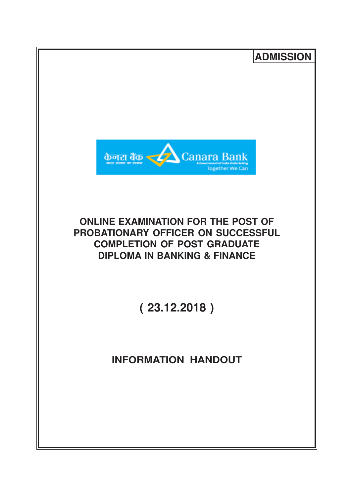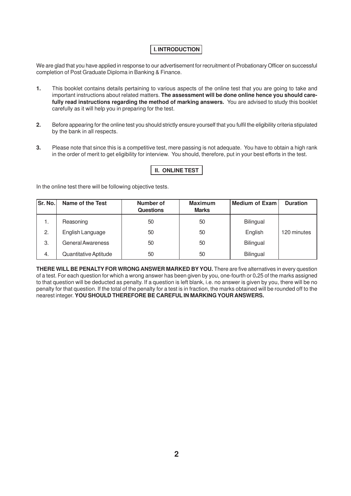# **I. INTRODUCTION**

We are glad that you have applied in response to our advertisement for recruitment of Probationary Officer on successful completion of Post Graduate Diploma in Banking & Finance.

- **1.** This booklet contains details pertaining to various aspects of the online test that you are going to take and important instructions about related matters. **The assessment will be done online hence you should carefully read instructions regarding the method of marking answers.** You are advised to study this booklet carefully as it will help you in preparing for the test.
- **2.** Before appearing for the online test you should strictly ensure yourself that you fulfil the eligibility criteria stipulated by the bank in all respects.
- **3.** Please note that since this is a competitive test, mere passing is not adequate. You have to obtain a high rank in the order of merit to get eligibility for interview. You should, therefore, put in your best efforts in the test.

| <b>II. ONLINE TEST</b> |
|------------------------|
|------------------------|

In the online test there will be following objective tests.

| Sr. No. | Name of the Test         | Number of<br><b>Questions</b> | <b>Maximum</b><br><b>Marks</b> | <b>Medium of Exam</b> | <b>Duration</b> |
|---------|--------------------------|-------------------------------|--------------------------------|-----------------------|-----------------|
| ι.      | Reasoning                | 50                            | 50                             | Bilingual             |                 |
| 2.      | English Language         | 50                            | 50                             | English               | 120 minutes     |
| 3.      | <b>General Awareness</b> | 50                            | 50                             | <b>Bilingual</b>      |                 |
| 4.      | Quantitative Aptitude    | 50                            | 50                             | Bilingual             |                 |

**THERE WILL BE PENALTY FOR WRONG ANSWER MARKED BYYOU.** There are five alternatives in every question of a test. For each question for which a wrong answer has been given by you, one-fourth or 0**.**25 of the marks assigned to that question will be deducted as penalty. If a question is left blank, i.e. no answer is given by you, there will be no penalty for that question. If the total of the penalty for a test is in fraction, the marks obtained will be rounded off to the nearest integer. **YOU SHOULD THEREFORE BE CAREFUL IN MARKING YOUR ANSWERS.**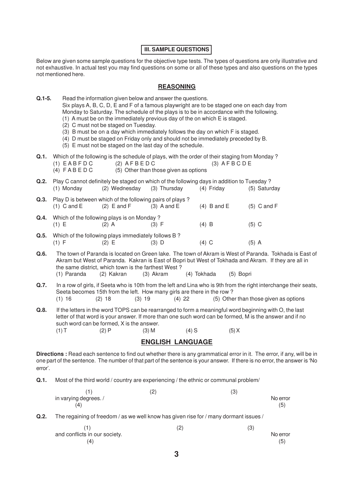### **III. SAMPLE QUESTIONS**

Below are given some sample questions for the objective type tests. The types of questions are only illustrative and not exhaustive. In actual test you may find questions on some or all of these types and also questions on the types not mentioned here.

## **REASONING**

**Q.1-5.** Read the information given below and answer the questions. Six plays A, B, C, D, E and F of a famous playwright are to be staged one on each day from Monday to Saturday. The schedule of the plays is to be in accordance with the following. (1) A must be on the immediately previous day of the on which E is staged. (2) C must not be staged on Tuesday. (3) B must be on a day which immediately follows the day on which F is staged. (4) D must be staged on Friday only and should not be immediately preceded by B. (5) E must not be staged on the last day of the schedule. **Q.1.** Which of the following is the schedule of plays, with the order of their staging from Monday ?  $(1)$  EABFDC  $(2)$  AFBEDC  $(3)$  AFBCDE (4)  $F \wedge B \wedge D$  (5) Other than those given as options **Q.2.** Play C cannot definitely be staged on which of the following days in addition to Tuesday ? (1) Monday (2) Wednesday (3) Thursday (4) Friday (5) Saturday **Q.3.** Play D is between which of the following pairs of plays? (1) C and E (2) E and F (3) A and E (4) B and E (5) C and F **Q.4.** Which of the following plays is on Monday ? (1) E (2) A (3) F (4) B (5) C **Q.5.** Which of the following plays immediately follows B ? (1) F (2) E (3) D (4) C (5) A **Q.6.** The town of Paranda is located on Green lake. The town of Akram is West of Paranda. Tokhada is East of Akram but West of Paranda. Kakran is East of Bopri but West of Tokhada and Akram. If they are all in the same district, which town is the farthest West ? (1) Paranda (2) Kakran (3) Akram (4) Tokhada (5) Bopri

- **Q.7.** In a row of girls, if Seeta who is 10th from the left and Lina who is 9th from the right interchange their seats, Seeta becomes 15th from the left. How many girls are there in the row ? (1) 16 (2) 18 (3) 19 (4) 22 (5) Other than those given as options
- **Q.8.** If the letters in the word TOPS can be rearranged to form a meaningful word beginning with O, the last letter of that word is your answer. If more than one such word can be formed, M is the answer and if no such word can be formed, X is the answer.

(1) T (2) P (3) M (4) S (5) X

#### **ENGLISH LANGUAGE**

**Directions :** Read each sentence to find out whether there is any grammatical error in it. The error, if any, will be in one part of the sentence. The number of that part of the sentence is your answer. If there is no error, the answer is 'No error'.

**Q.1.** Most of the third world / country are experiencing / the ethnic or communal problem/

|                       | (2) | / ດ<br>U. |          |
|-----------------------|-----|-----------|----------|
| in varying degrees. / |     |           | No error |
| (4)                   |     |           | (5)      |

**Q.2.** The regaining of freedom / as we well know has given rise for / many dormant issues /

|                               | (2) | (3)      |
|-------------------------------|-----|----------|
| and conflicts in our society. |     | No error |
| (4)                           |     | (5)      |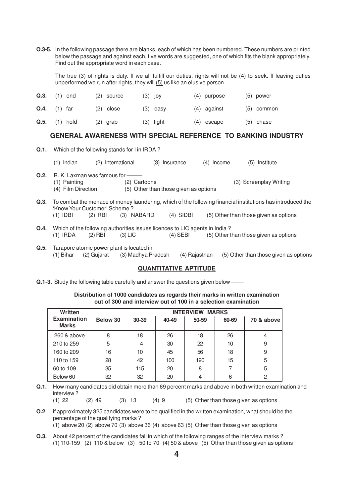**Q.3-5.** In the following passage there are blanks, each of which has been numbered. These numbers are printed below the passage and against each, five words are suggested, one of which fits the blank appropriately. Find out the appropriate word in each case.

The true (3) of rights is duty. If we all fulfill our duties, rights will not be (4) to seek. If leaving duties unperformed we run after rights, they will (5) us like an elusive person.

| Q.3. | (1) end    | $(2)$ source | $(3)$ joy   | $(4)$ purpose | $(5)$ power  |
|------|------------|--------------|-------------|---------------|--------------|
| Q.4. | (1) far    | $(2)$ close  | $(3)$ easy  | $(4)$ against | $(5)$ common |
| Q.5. | $(1)$ hold | $(2)$ grab   | $(3)$ fight | $(4)$ escape  | $(5)$ chase  |

#### **GENERAL AWARENESS WITH SPECIAL REFERENCE TO BANKING INDUSTRY**

| Q.1. |                                                                       |                      |               |                                       |            |                                                                                                                                                     |  |
|------|-----------------------------------------------------------------------|----------------------|---------------|---------------------------------------|------------|-----------------------------------------------------------------------------------------------------------------------------------------------------|--|
|      | Indian<br>(1)                                                         | International<br>(2) |               | Insurance<br>(3)                      | (4) Income | Institute<br>(5)                                                                                                                                    |  |
| Q.2. | R. K. Laxman was famous for ———<br>(1) Painting<br>(4) Film Direction |                      | (2) Cartoons  | (5) Other than those given as options |            | (3) Screenplay Writing                                                                                                                              |  |
| Q.3. | 'Know Your Customer' Scheme?<br>(1) IDBI                              | (2) RBI              | (3)<br>NABARD | (4) SIDBI                             |            | To combat the menace of money laundering, which of the following financial institutions has introduced the<br>(5) Other than those given as options |  |

- **Q.4.** Which of the following authorities issues licences to LIC agents in India ?<br>(1) IRDA (2) RBI (3) LIC (4) SEBI (5) Other t  $(5)$  Other than those given as options
- **Q.5.** Tarapore atomic power plant is located in (1) Bihar (2) Gujarat (3) Madhya Pradesh (4) Rajasthan (5) Other than those given as options

#### **QUANTITATIVE APTITUDE**

**Q.1-3.** Study the following table carefully and answer the questions given below -–

### **Distribution of 1000 candidates as regards their marks in written examination out of 300 and interview out of 100 in a selection examination**

| Written                            | <b>INTERVIEW MARKS</b> |       |       |       |       |            |  |  |
|------------------------------------|------------------------|-------|-------|-------|-------|------------|--|--|
| <b>Examination</b><br><b>Marks</b> | Below 30               | 30-39 | 40-49 | 50-59 | 60-69 | 70 & above |  |  |
| 260 & above                        | 8                      | 18    | 26    | 18    | 26    | 4          |  |  |
| 210 to 259                         | 5                      | 4     | 30    | 22    | 10    | 9          |  |  |
| 160 to 209                         | 16                     | 10    | 45    | 56    | 18    | 9          |  |  |
| 110 to 159                         | 28                     | 42    | 100   | 190   | 15    | 5          |  |  |
| 60 to 109                          | 35                     | 115   | 20    | 8     |       | 5          |  |  |
| Below 60                           | 32                     | 32    | 20    | 4     | 6     | 2          |  |  |

- **Q.1.** How many candidates did obtain more than 69 percent marks and above in both written examination and interview ? (1) 22 (2) 49 (3) 13 (4) 9 (5) Other than those given as options
- **Q.2**. if approximately 325 candidates were to be qualified in the written examination, what should be the percentage of the qualifying marks ?  $(1)$  above 20  $(2)$  above 70  $(3)$  above 36  $(4)$  above 63  $(5)$  Other than those given as options
- **Q.3.** About 42 percent of the candidates fall in which of the following ranges of the interview marks ? (1) 110-159 (2) 110 & below (3) 50 to 70 (4) 50 & above (5) Other than those given as options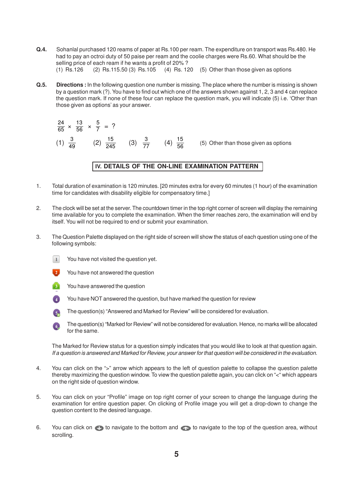- **Q.4.** Sohanlal purchased 120 reams of paper at Rs.100 per ream. The expenditure on transport was Rs.480. He had to pay an octroi duty of 50 paise per ream and the coolie charges were Rs.60. What should be the selling price of each ream if he wants a profit of 20% ? (1) Rs.126 (2) Rs.115.50 (3) Rs.105 (4) Rs. 120 (5) Other than those given as options
- **Q.5. Directions :** In the following question one number is missing. The place where the number is missing is shown by a question mark (?). You have to find out which one of the answers shown against 1, 2, 3 and 4 can replace the question mark. If none of these four can replace the question mark, you will indicate (5) i.e. 'Other than those given as options' as your answer.

 $\frac{24}{65} \times \frac{13}{56} \times \frac{5}{7}$  $\frac{3}{7}$  = ? (1)  $\frac{3}{49}$  (2)  $\frac{15}{245}$  (3)  $\frac{3}{77}$  (4)  $\frac{15}{56}$  (5) Other than those given as options

### IV. DETAILS OF THE ON-LINE EXAMINATION PATTERN

- 1. Total duration of examination is 120 minutes. [20 minutes extra for every 60 minutes (1 hour) of the examination time for candidates with disability eligible for compensatory time.]
- 2. The clock will be set at the server. The countdown timer in the top right corner of screen will display the remaining time available for you to complete the examination. When the timer reaches zero, the examination will end by itself. You will not be required to end or submit your examination.
- 3. The Question Palette displayed on the right side of screen will show the status of each question using one of the following symbols:
	- $\boxed{1}$ You have not visited the question yet.
	- You have not answered the question
	- You have answered the question
	- You have NOT answered the question, but have marked the question for review
	- The question(s) "Answered and Marked for Review" will be considered for evaluation.
	- The question(s) "Marked for Review" will not be considered for evaluation. Hence, no marks will be allocated for the same.

The Marked for Review status for a question simply indicates that you would like to look at that question again. If a question is answered and Marked for Review, your answer for that question will be considered in the evaluation.

- 4. You can click on the ">" arrow which appears to the left of question palette to collapse the question palette thereby maximizing the question window. To view the question palette again, you can click on "<" which appears on the right side of question window.
- 5. You can click on your "Profile" image on top right corner of your screen to change the language during the examination for entire question paper. On clicking of Profile image you will get a drop-down to change the question content to the desired language.
- 6. You can click on to navigate to the bottom and to navigate to the top of the question area, without scrolling.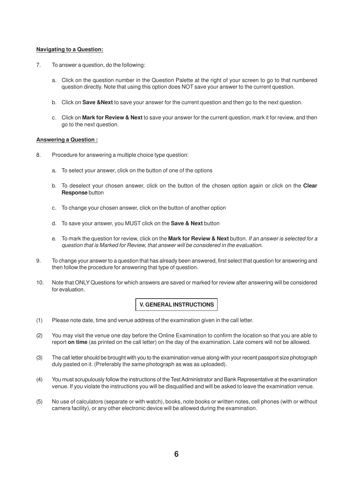#### **Navigating to a Question:**

- 7. To answer a question, do the following:
	- a. Click on the question number in the Question Palette at the right of your screen to go to that numbered question directly. Note that using this option does NOT save your answer to the current question.
	- b. Click on **Save &Next** to save your answer for the current question and then go to the next question.
	- c. Click on **Mark for Review & Next** to save your answer for the current question, mark it for review, and then go to the next question.

#### **Answering a Question :**

- 8. Procedure for answering a multiple choice type question:
	- a. To select your answer, click on the button of one of the options
	- b. To deselect your chosen answer, click on the button of the chosen option again or click on the **Clear Response** button
	- c. To change your chosen answer, click on the button of another option
	- d. To save your answer, you MUST click on the **Save & Next** button
	- e. To mark the question for review, click on the **Mark for Review & Next** button. If an answer is selected for a question that is Marked for Review, that answer will be considered in the evaluation.
- 9. To change your answer to a question that has already been answered, first select that question for answering and then follow the procedure for answering that type of question.
- 10. Note that ONLY Questions for which answers are saved or marked for review after answering will be considered for evaluation.

## **V. GENERAL INSTRUCTIONS**

- (1) Please note date, time and venue address of the examination given in the call letter.
- (2) You may visit the venue one day before the Online Examination to confirm the location so that you are able to report **on time** (as printed on the call letter) on the day of the examination. Late comers will not be allowed.
- (3) The call letter should be brought with you to the examination venue along with your recent passport size photograph duly pasted on it. (Preferably the same photograph as was as uploaded).
- (4) You must scrupulously follow the instructions of the Test Administrator and Bank Representative at the examination venue. If you violate the instructions you will be disqualified and will be asked to leave the examination venue.
- (5) No use of calculators (separate or with watch), books, note books or written notes, cell phones (with or without camera facility), or any other electronic device will be allowed during the examination.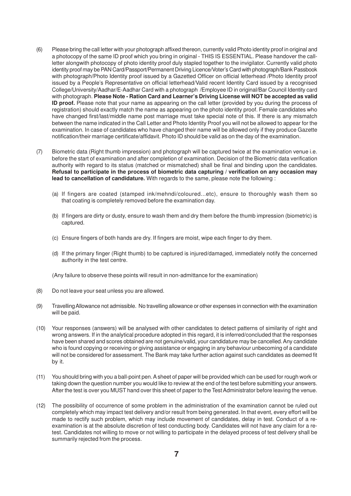- (6) Please bring the call letter with your photograph affixed thereon, currently valid Photo identity proof in original and a photocopy of the same ID proof which you bring in original - THIS IS ESSENTIAL. Please handover the callletter alongwith photocopy of photo identity proof duly stapled together to the invigilator. Currently valid photo identity proof may be PAN Card/Passport/Permanent Driving Licence/Voter's Card with photograph/Bank Passbook with photograph/Photo Identity proof issued by a Gazetted Officer on official letterhead /Photo Identity proof issued by a People's Representative on official letterhead/Valid recent Identity Card issued by a recognised College/University/Aadhar/E-Aadhar Card with a photograph /Employee ID in original/Bar Council Identity card with photograph. **Please Note - Ration Card and Learner's Driving License will NOT be accepted as valid ID proof.** Please note that your name as appearing on the call letter (provided by you during the process of registration) should exactly match the name as appearing on the photo identity proof. Female candidates who have changed first/last/middle name post marriage must take special note of this. If there is any mismatch between the name indicated in the Call Letter and Photo Identity Proof you will not be allowed to appear for the examination. In case of candidates who have changed their name will be allowed only if they produce Gazette notification/their marriage certificate/affidavit. Photo ID should be valid as on the day of the examination.
- (7) Biometric data (Right thumb impression) and photograph will be captured twice at the examination venue i.e. before the start of examination and after completion of examination. Decision of the Biometric data verification authority with regard to its status (matched or mismatched) shall be final and binding upon the candidates. **Refusal to participate in the process of biometric data capturing / verification on any occasion may lead to cancellation of candidature.** With regards to the same, please note the following :
	- (a) If fingers are coated (stamped ink/mehndi/coloured...etc), ensure to thoroughly wash them so that coating is completely removed before the examination day.
	- (b) If fingers are dirty or dusty, ensure to wash them and dry them before the thumb impression (biometric) is captured.
	- (c) Ensure fingers of both hands are dry. If fingers are moist, wipe each finger to dry them.
	- (d) If the primary finger (Right thumb) to be captured is injured/damaged, immediately notify the concerned authority in the test centre.

(Any failure to observe these points will result in non-admittance for the examination)

- (8) Do not leave your seat unless you are allowed.
- (9) Travelling Allowance not admissible. No travelling allowance or other expenses in connection with the examination will be paid.
- (10) Your responses (answers) will be analysed with other candidates to detect patterns of similarity of right and wrong answers. If in the analytical procedure adopted in this regard, it is inferred/concluded that the responses have been shared and scores obtained are not genuine/valid, your candidature may be cancelled. Any candidate who is found copying or receiving or giving assistance or engaging in any behaviour unbecoming of a candidate will not be considered for assessment. The Bank may take further action against such candidates as deemed fit by it.
- (11) You should bring with you a ball-point pen. A sheet of paper will be provided which can be used for rough work or taking down the question number you would like to review at the end of the test before submitting your answers. After the test is over you MUST hand over this sheet of paper to the Test Administrator before leaving the venue.
- (12) The possibility of occurrence of some problem in the administration of the examination cannot be ruled out completely which may impact test delivery and/or result from being generated. In that event, every effort will be made to rectify such problem, which may include movement of candidates, delay in test. Conduct of a reexamination is at the absolute discretion of test conducting body. Candidates will not have any claim for a retest. Candidates not willing to move or not willing to participate in the delayed process of test delivery shall be summarily rejected from the process.